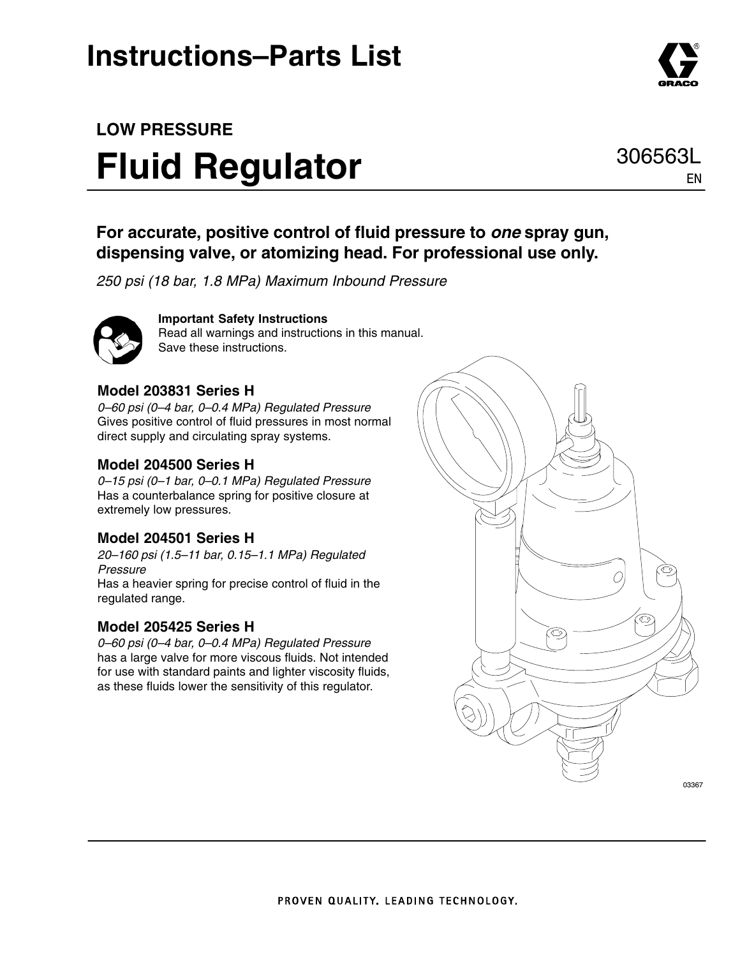## **Instructions–Parts List**

## **LOW PRESSURE Fluid Regulator**

### **For accurate, positive control of fluid pressure to** *one* **spray gun, dispensing valve, or atomizing head. For professional use only.**

*250 psi (18 bar, 1.8 MPa) Maximum Inbound Pressure*



**Important Safety Instructions** Read all warnings and instructions in this manual. Save these instructions.

#### **Model 203831 Series H**

*0–60 psi (0–4 bar, 0–0.4 MPa) Regulated Pressure* Gives positive control of fluid pressures in most normal direct supply and circulating spray systems.

#### **Model 204500 Series H**

*0–15 psi (0–1 bar, 0–0.1 MPa) Regulated Pressure* Has a counterbalance spring for positive closure at extremely low pressures.

#### **Model 204501 Series H**

*20–160 psi (1.5–11 bar, 0.15–1.1 MPa) Regulated Pressure* Has a heavier spring for precise control of fluid in the regulated range.

#### **Model 205425 Series H**

*0–60 psi (0–4 bar, 0–0.4 MPa) Regulated Pressure* has a large valve for more viscous fluids. Not intended for use with standard paints and lighter viscosity fluids, as these fluids lower the sensitivity of this regulator.





EN

306563L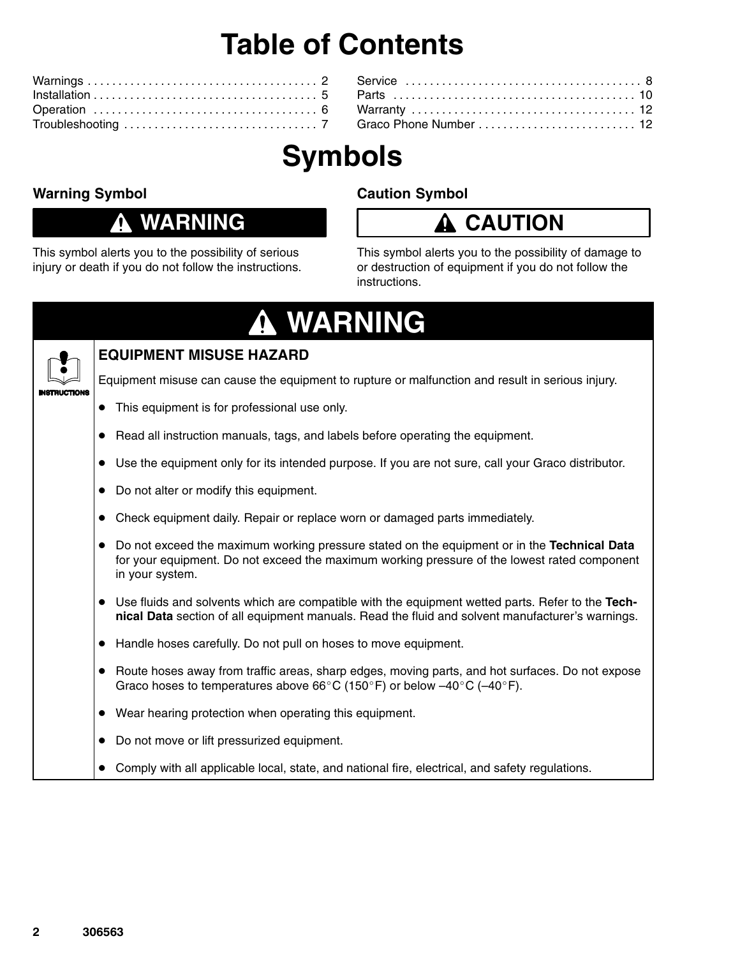## **Table of Contents**

| Graco Phone Number  12 |  |
|------------------------|--|

# **Symbols**

### **Warning Symbol**

### **WARNING**

This symbol alerts you to the possibility of serious injury or death if you do not follow the instructions.

### **Caution Symbol**

### **CAUTION**

This symbol alerts you to the possibility of damage to or destruction of equipment if you do not follow the instructions.

### **WARNING**  $\mathbf \Phi$



#### **EQUIPMENT MISUSE HAZARD**

Equipment misuse can cause the equipment to rupture or malfunction and result in serious injury.

- This equipment is for professional use only.
- Read all instruction manuals, tags, and labels before operating the equipment.
- Use the equipment only for its intended purpose. If you are not sure, call your Graco distributor.
- Do not alter or modify this equipment.
- Check equipment daily. Repair or replace worn or damaged parts immediately.
- Do not exceed the maximum working pressure stated on the equipment or in the **Technical Data** for your equipment. Do not exceed the maximum working pressure of the lowest rated component in your system.
- Use fluids and solvents which are compatible with the equipment wetted parts. Refer to the Tech**nical Data** section of all equipment manuals. Read the fluid and solvent manufacturer's warnings.
- Handle hoses carefully. Do not pull on hoses to move equipment.
- Route hoses away from traffic areas, sharp edges, moving parts, and hot surfaces. Do not expose Graco hoses to temperatures above 66°C (150°F) or below  $-40^{\circ}$ C ( $-40^{\circ}$ F).
- Wear hearing protection when operating this equipment.
- Do not move or lift pressurized equipment.
- Comply with all applicable local, state, and national fire, electrical, and safety regulations.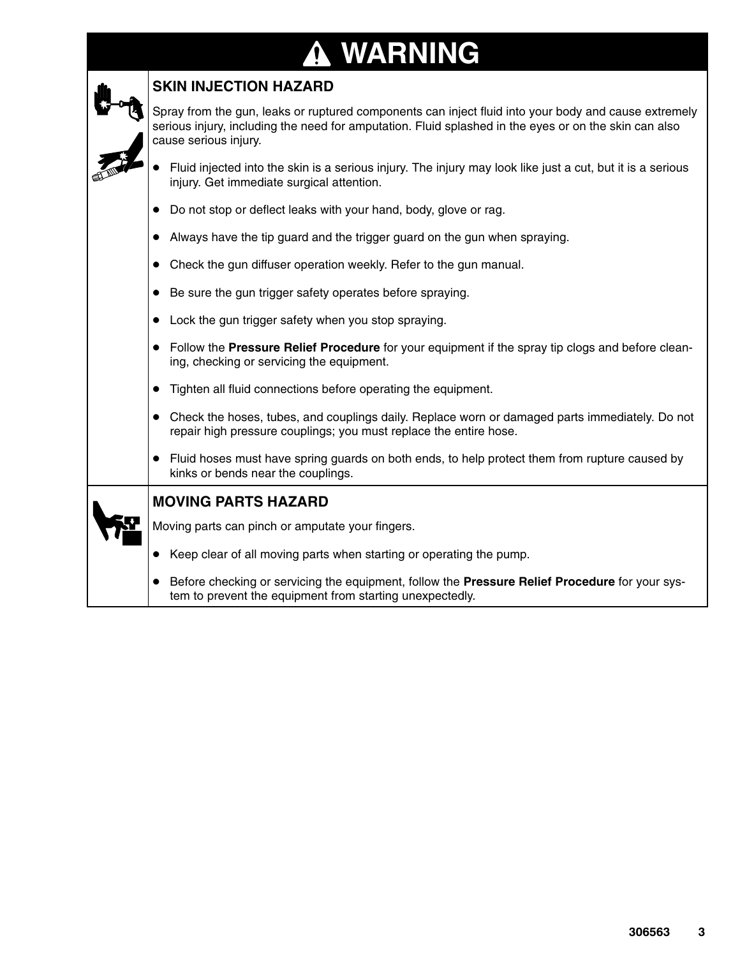# **A WARNING**

| <b>SKIN INJECTION HAZARD</b>                                                                                                                                                                                                           |  |  |  |  |  |  |
|----------------------------------------------------------------------------------------------------------------------------------------------------------------------------------------------------------------------------------------|--|--|--|--|--|--|
| Spray from the gun, leaks or ruptured components can inject fluid into your body and cause extremely<br>serious injury, including the need for amputation. Fluid splashed in the eyes or on the skin can also<br>cause serious injury. |  |  |  |  |  |  |
| Fluid injected into the skin is a serious injury. The injury may look like just a cut, but it is a serious<br>injury. Get immediate surgical attention.                                                                                |  |  |  |  |  |  |
| Do not stop or deflect leaks with your hand, body, glove or rag.                                                                                                                                                                       |  |  |  |  |  |  |
| Always have the tip guard and the trigger guard on the gun when spraying.<br>$\bullet$                                                                                                                                                 |  |  |  |  |  |  |
| Check the gun diffuser operation weekly. Refer to the gun manual.<br>$\bullet$                                                                                                                                                         |  |  |  |  |  |  |
| Be sure the gun trigger safety operates before spraying.<br>$\bullet$                                                                                                                                                                  |  |  |  |  |  |  |
| Lock the gun trigger safety when you stop spraying.                                                                                                                                                                                    |  |  |  |  |  |  |
| Follow the Pressure Relief Procedure for your equipment if the spray tip clogs and before clean-<br>ing, checking or servicing the equipment.                                                                                          |  |  |  |  |  |  |
| Tighten all fluid connections before operating the equipment.<br>$\bullet$                                                                                                                                                             |  |  |  |  |  |  |
| Check the hoses, tubes, and couplings daily. Replace worn or damaged parts immediately. Do not<br>$\bullet$<br>repair high pressure couplings; you must replace the entire hose.                                                       |  |  |  |  |  |  |
| Fluid hoses must have spring guards on both ends, to help protect them from rupture caused by<br>kinks or bends near the couplings.                                                                                                    |  |  |  |  |  |  |
| <b>MOVING PARTS HAZARD</b>                                                                                                                                                                                                             |  |  |  |  |  |  |
| Moving parts can pinch or amputate your fingers.                                                                                                                                                                                       |  |  |  |  |  |  |
| Keep clear of all moving parts when starting or operating the pump.                                                                                                                                                                    |  |  |  |  |  |  |
| Before checking or servicing the equipment, follow the Pressure Relief Procedure for your sys-<br>tem to prevent the equipment from starting unexpectedly.                                                                             |  |  |  |  |  |  |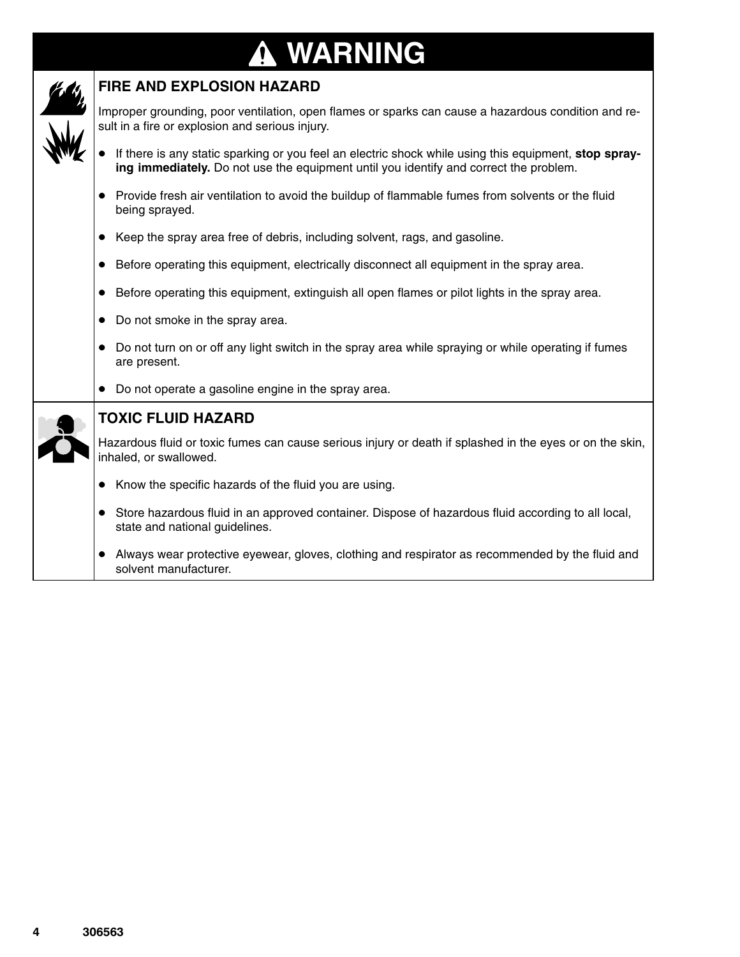### **WARNING ↑**

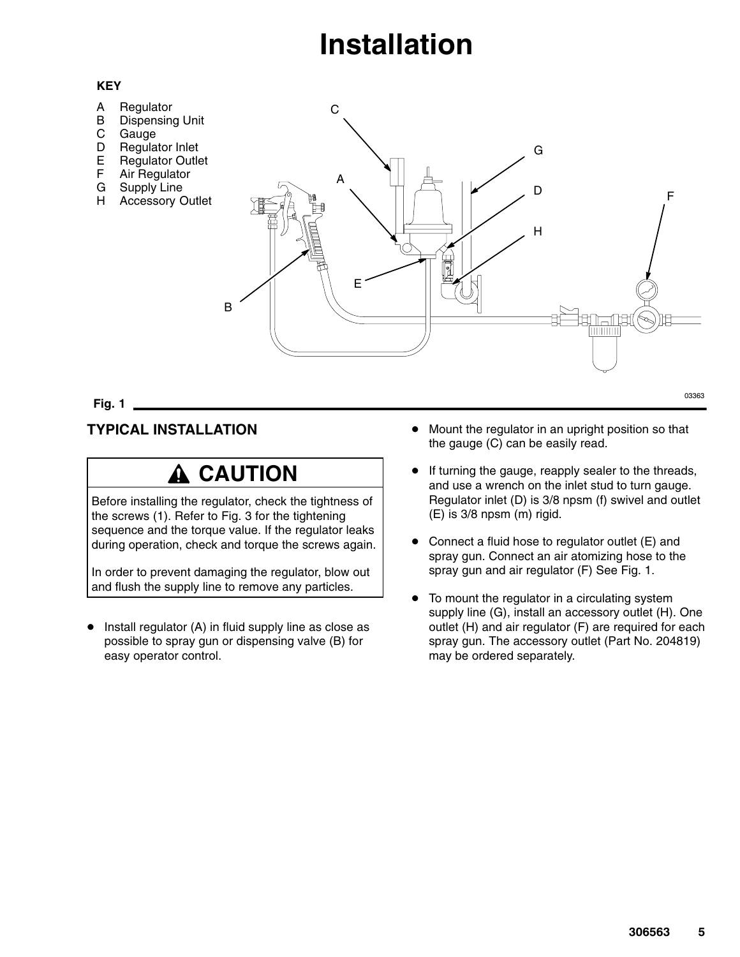## **Installation**

#### **KEY**

- A **Regulator**
- B Dispensing Unit
- C Gauge
- D Regulator Inlet
- E Regulator Outlet
- F Air Regulator
- G Supply Line
- H Accessory Outlet



**Fig. 1** -

#### **TYPICAL INSTALLATION**

### **A CAUTION**

Before installing the regulator, check the tightness of the screws (1). Refer to Fig. 3 for the tightening sequence and the torque value. If the regulator leaks during operation, check and torque the screws again.

In order to prevent damaging the regulator, blow out and flush the supply line to remove any particles.

- Install regulator (A) in fluid supply line as close as possible to spray gun or dispensing valve (B) for easy operator control.

- Mount the regulator in an upright position so that the gauge (C) can be easily read.
- $\bullet$  If turning the gauge, reapply sealer to the threads, and use a wrench on the inlet stud to turn gauge. Regulator inlet (D) is 3/8 npsm (f) swivel and outlet (E) is 3/8 npsm (m) rigid.
- - Connect a fluid hose to regulator outlet (E) and spray gun. Connect an air atomizing hose to the spray gun and air regulator (F) See Fig. 1.
- $\bullet$  To mount the regulator in a circulating system supply line (G), install an accessory outlet (H). One outlet (H) and air regulator (F) are required for each spray gun. The accessory outlet (Part No. 204819) may be ordered separately.

03363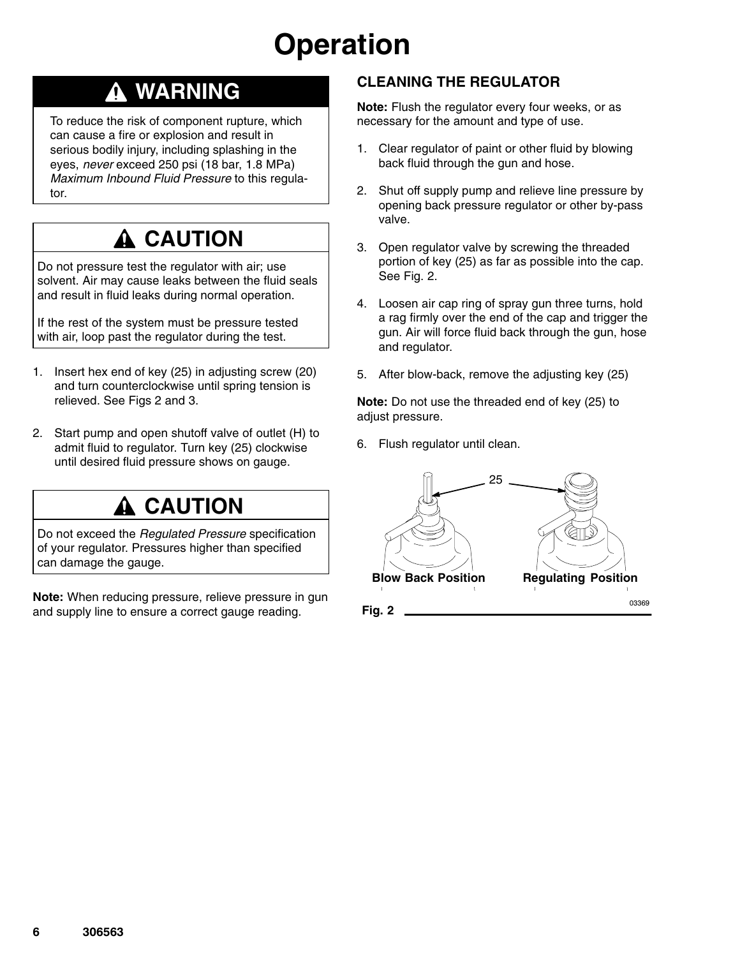# **Operation**

### **WARNING**

To reduce the risk of component rupture, which can cause a fire or explosion and result in serious bodily injury, including splashing in the eyes, *never* exceed 250 psi (18 bar, 1.8 MPa) *Maximum Inbound Fluid Pressure* to this regulator.

### **A CAUTION**

Do not pressure test the regulator with air; use solvent. Air may cause leaks between the fluid seals and result in fluid leaks during normal operation.

If the rest of the system must be pressure tested with air, loop past the regulator during the test.

- 1. Insert hex end of key (25) in adjusting screw (20) and turn counterclockwise until spring tension is relieved. See Figs 2 and 3.
- 2. Start pump and open shutoff valve of outlet (H) to admit fluid to regulator. Turn key (25) clockwise until desired fluid pressure shows on gauge.

### **A CAUTION**

Do not exceed the *Regulated Pressure* specification of your regulator. Pressures higher than specified can damage the gauge.

**Note:** When reducing pressure, relieve pressure in gun and supply line to ensure a correct gauge reading.

### **CLEANING THE REGULATOR**

**Note:** Flush the regulator every four weeks, or as necessary for the amount and type of use.

- 1. Clear regulator of paint or other fluid by blowing back fluid through the gun and hose.
- 2. Shut off supply pump and relieve line pressure by opening back pressure regulator or other by-pass valve.
- 3. Open regulator valve by screwing the threaded portion of key (25) as far as possible into the cap. See Fig. 2.
- 4. Loosen air cap ring of spray gun three turns, hold a rag firmly over the end of the cap and trigger the gun. Air will force fluid back through the gun, hose and regulator.
- 5. After blow-back, remove the adjusting key (25)

**Note:** Do not use the threaded end of key (25) to adjust pressure.

6. Flush regulator until clean.

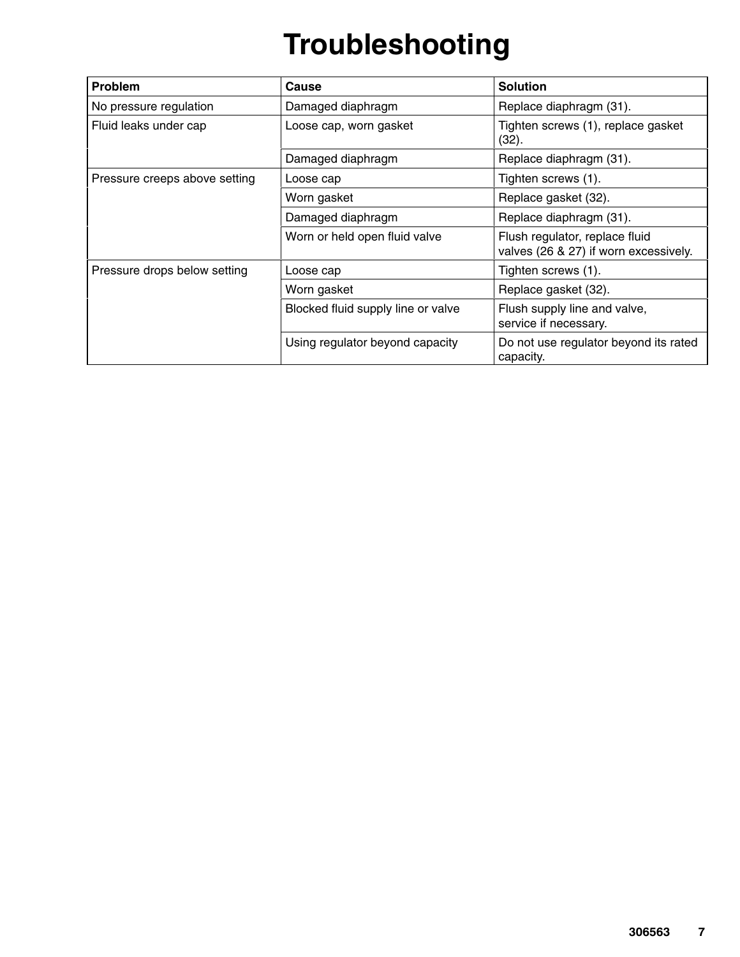# **Troubleshooting**

| <b>Problem</b>                | Cause                              | <b>Solution</b>                                                         |  |
|-------------------------------|------------------------------------|-------------------------------------------------------------------------|--|
| No pressure regulation        | Damaged diaphragm                  | Replace diaphragm (31).                                                 |  |
| Fluid leaks under cap         | Loose cap, worn gasket             | Tighten screws (1), replace gasket<br>(32).                             |  |
|                               | Damaged diaphragm                  | Replace diaphragm (31).                                                 |  |
| Pressure creeps above setting | Loose cap                          | Tighten screws (1).                                                     |  |
|                               | Worn gasket                        | Replace gasket (32).                                                    |  |
|                               | Damaged diaphragm                  | Replace diaphragm (31).                                                 |  |
|                               | Worn or held open fluid valve      | Flush regulator, replace fluid<br>valves (26 & 27) if worn excessively. |  |
| Pressure drops below setting  | Loose cap                          | Tighten screws (1).                                                     |  |
|                               | Worn gasket                        | Replace gasket (32).                                                    |  |
|                               | Blocked fluid supply line or valve | Flush supply line and valve,<br>service if necessary.                   |  |
|                               | Using regulator beyond capacity    | Do not use regulator beyond its rated<br>capacity.                      |  |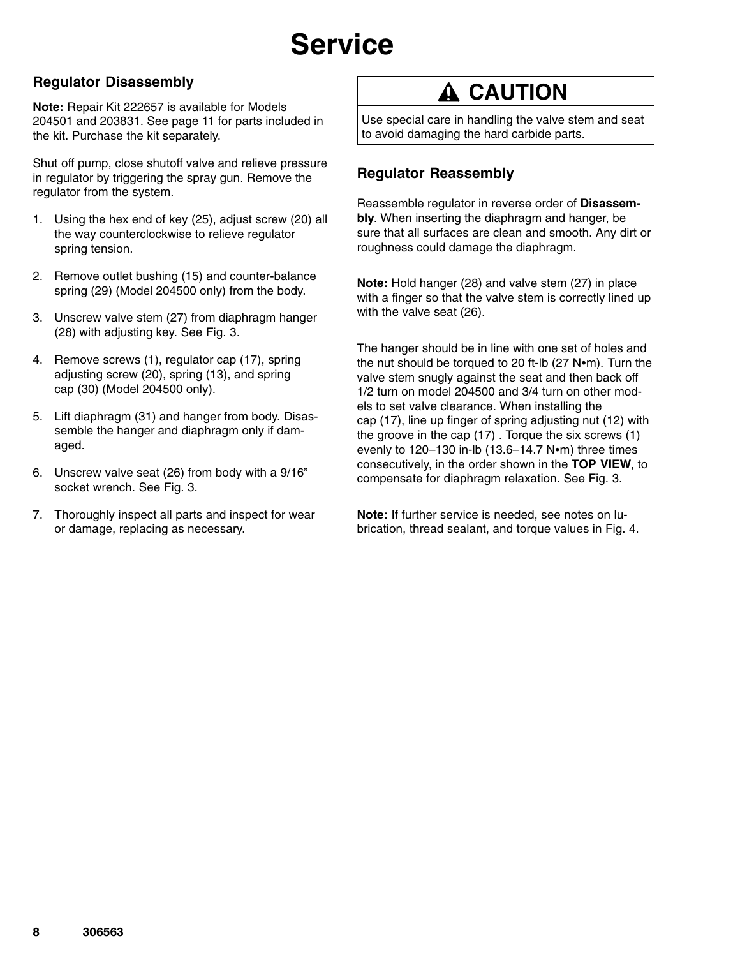# **Service**

### **Regulator Disassembly**

**Note:** Repair Kit 222657 is available for Models 204501 and 203831. See page 11 for parts included in the kit. Purchase the kit separately.

Shut off pump, close shutoff valve and relieve pressure in regulator by triggering the spray gun. Remove the regulator from the system.

- 1. Using the hex end of key (25), adjust screw (20) all the way counterclockwise to relieve regulator spring tension.
- 2. Remove outlet bushing (15) and counter-balance spring (29) (Model 204500 only) from the body.
- 3. Unscrew valve stem (27) from diaphragm hanger (28) with adjusting key. See Fig. 3.
- 4. Remove screws (1), regulator cap (17), spring adjusting screw (20), spring (13), and spring cap (30) (Model 204500 only).
- 5. Lift diaphragm (31) and hanger from body. Disassemble the hanger and diaphragm only if damaged.
- 6. Unscrew valve seat (26) from body with a 9/16" socket wrench. See Fig. 3.
- 7. Thoroughly inspect all parts and inspect for wear or damage, replacing as necessary.

### **A CAUTION**

Use special care in handling the valve stem and seat to avoid damaging the hard carbide parts.

### **Regulator Reassembly**

Reassemble regulator in reverse order of **Disassembly**. When inserting the diaphragm and hanger, be sure that all surfaces are clean and smooth. Any dirt or roughness could damage the diaphragm.

**Note:** Hold hanger (28) and valve stem (27) in place with a finger so that the valve stem is correctly lined up with the valve seat (26).

The hanger should be in line with one set of holes and the nut should be torqued to 20 ft-lb  $(27$  N $\bullet$ m). Turn the valve stem snugly against the seat and then back off 1/2 turn on model 204500 and 3/4 turn on other models to set valve clearance. When installing the cap (17), line up finger of spring adjusting nut (12) with the groove in the cap (17) . Torque the six screws (1) evenly to  $120-130$  in-lb  $(13.6-14.7 \text{ N} \cdot \text{m})$  three times consecutively, in the order shown in the **TOP VIEW**, to compensate for diaphragm relaxation. See Fig. 3.

**Note:** If further service is needed, see notes on lubrication, thread sealant, and torque values in Fig. 4.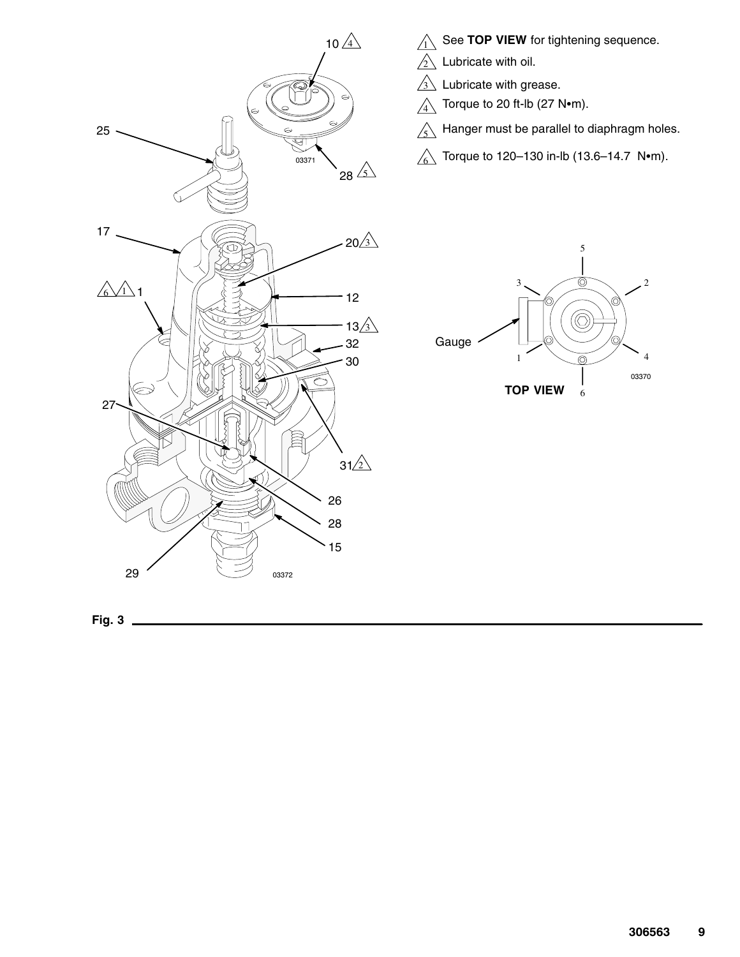



- 
- $3\sqrt{ }$  Lubricate with grease.

 $\sqrt[4]{ }$  Torque to 20 ft-lb (27 N $\bullet$ m).

- $\lesssim$  Hanger must be parallel to diaphragm holes.
- $\textcircled{\scriptsize\char'4}$  Torque to 120–130 in-lb (13.6–14.7 N $\bullet$ m).



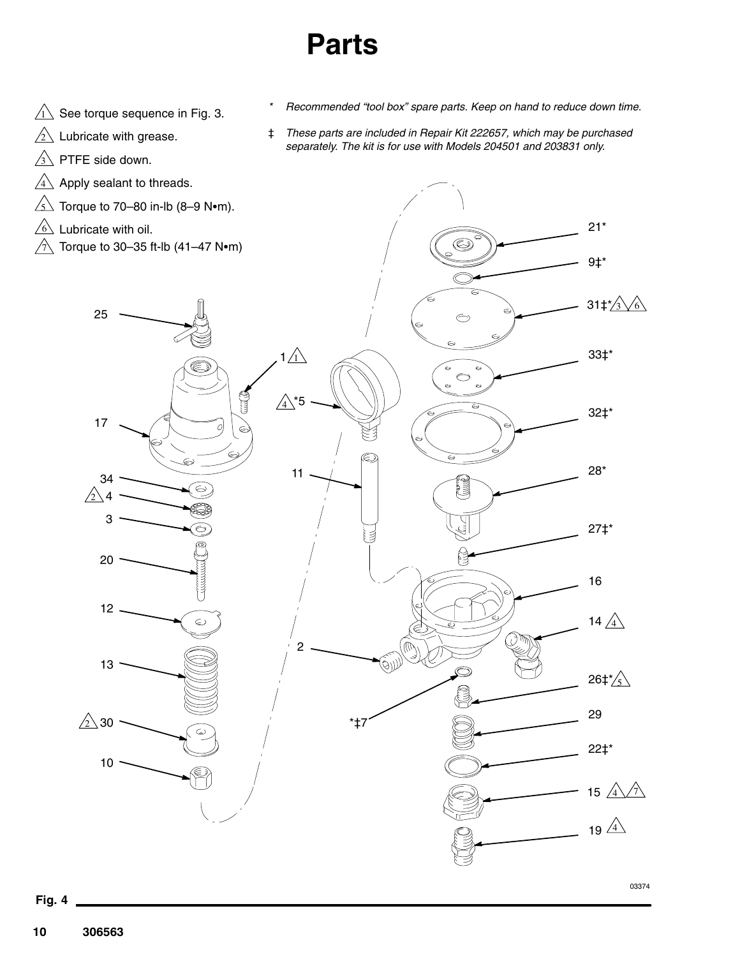## **Parts**

- $\overline{11}$  See torque sequence in Fig. 3.
- $\sqrt{2}$  Lubricate with grease.
- $3\overline{\smash{\setminus}}$  PTFE side down.
- $4\sqrt{4}$  Apply sealant to threads.
- $\stackrel{\leftarrow}{\leq}$  Torque to 70–80 in-lb (8–9 N•m).
- $6\text{ }$  Lubricate with oil.
- $\hat{\gamma}$  Torque to 30–35 ft-lb (41–47 N $\bullet$ m)
- *\* Recommended "tool box" spare parts. Keep on hand to reduce down time.*
- ‡ *These parts are included in Repair Kit 222657, which may be purchased separately. The kit is for use with Models 204501 and 203831 only.*

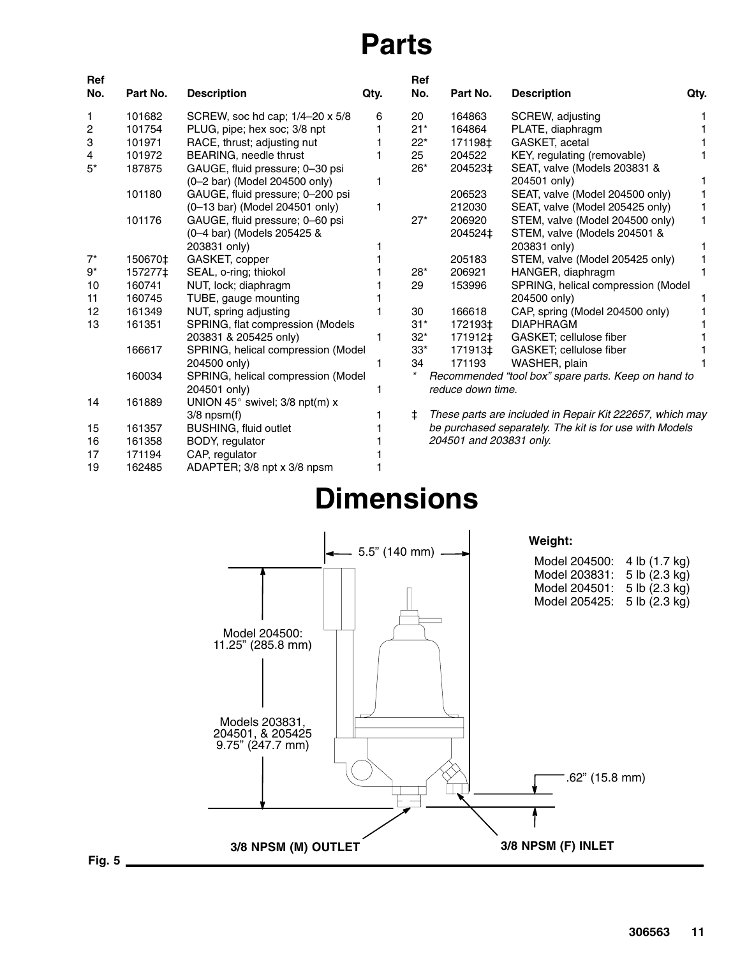## **Parts**

| Ref<br>No.     | Part No. | <b>Description</b>                       | Qty. | Ref<br>No. | Part No.                                                | <b>Description</b>                                       | Qty. |
|----------------|----------|------------------------------------------|------|------------|---------------------------------------------------------|----------------------------------------------------------|------|
| 1              | 101682   | SCREW, soc hd cap; 1/4-20 x 5/8          | 6    | 20         | 164863                                                  | SCREW, adjusting                                         |      |
| $\overline{c}$ | 101754   | PLUG, pipe; hex soc; 3/8 npt             |      | $21*$      | 164864                                                  | PLATE, diaphragm                                         |      |
| 3              | 101971   | RACE, thrust; adjusting nut              |      | $22*$      | 171198‡                                                 | GASKET, acetal                                           |      |
| 4              | 101972   | BEARING, needle thrust                   |      | 25         | 204522                                                  | KEY, regulating (removable)                              |      |
| $5^*$          | 187875   | GAUGE, fluid pressure; 0-30 psi          |      | $26*$      | 204523‡                                                 | SEAT, valve (Models 203831 &                             |      |
|                |          | (0-2 bar) (Model 204500 only)            | 1    |            |                                                         | 204501 only)                                             | 1    |
|                | 101180   | GAUGE, fluid pressure; 0-200 psi         |      |            | 206523                                                  | SEAT, valve (Model 204500 only)                          | 1    |
|                |          | (0-13 bar) (Model 204501 only)           | 1    |            | 212030                                                  | SEAT, valve (Model 205425 only)                          | 1    |
|                | 101176   | GAUGE, fluid pressure; 0-60 psi          |      | $27*$      | 206920                                                  | STEM, valve (Model 204500 only)                          | 1.   |
|                |          | (0-4 bar) (Models 205425 &               |      |            | 204524‡                                                 | STEM, valve (Models 204501 &                             |      |
|                |          | 203831 only)                             |      |            |                                                         | 203831 only)                                             | 1    |
| $7^*$          | 150670‡  | GASKET, copper                           |      |            | 205183                                                  | STEM, valve (Model 205425 only)                          |      |
| $9^*$          | 157277‡  | SEAL, o-ring; thiokol                    |      | $28*$      | 206921                                                  | HANGER, diaphragm                                        | 1    |
| 10             | 160741   | NUT, lock; diaphragm                     |      | 29         | 153996                                                  | SPRING, helical compression (Model                       |      |
| 11             | 160745   | TUBE, gauge mounting                     |      |            |                                                         | 204500 only)                                             |      |
| 12             | 161349   | NUT, spring adjusting                    |      | 30         | 166618                                                  | CAP, spring (Model 204500 only)                          |      |
| 13             | 161351   | SPRING, flat compression (Models         |      | $31*$      | 172193‡                                                 | <b>DIAPHRAGM</b>                                         |      |
|                |          | 203831 & 205425 only)                    | 1    | $32^*$     | 171912‡                                                 | GASKET; cellulose fiber                                  |      |
|                | 166617   | SPRING, helical compression (Model       |      | $33*$      | 171913‡                                                 | GASKET; cellulose fiber                                  |      |
|                |          | 204500 only)                             | 1    | 34         | 171193                                                  | WASHER, plain                                            |      |
|                | 160034   | SPRING, helical compression (Model       |      | $\star$    |                                                         | Recommended "tool box" spare parts. Keep on hand to      |      |
|                |          | 204501 only)                             |      |            | reduce down time.                                       |                                                          |      |
| 14             | 161889   | UNION 45 $^{\circ}$ swivel; 3/8 npt(m) x |      |            |                                                         |                                                          |      |
|                |          | $3/8$ npsm $(f)$                         |      | ŧ          |                                                         | These parts are included in Repair Kit 222657, which may |      |
| 15             | 161357   | <b>BUSHING, fluid outlet</b>             |      |            | be purchased separately. The kit is for use with Models |                                                          |      |
| 16             | 161358   | BODY, regulator                          |      |            | 204501 and 203831 only.                                 |                                                          |      |
| 17             | 171194   | CAP, regulator                           |      |            |                                                         |                                                          |      |
| 19             | 162485   | ADAPTER; 3/8 npt x 3/8 npsm              |      |            |                                                         |                                                          |      |



### **Dimensions**